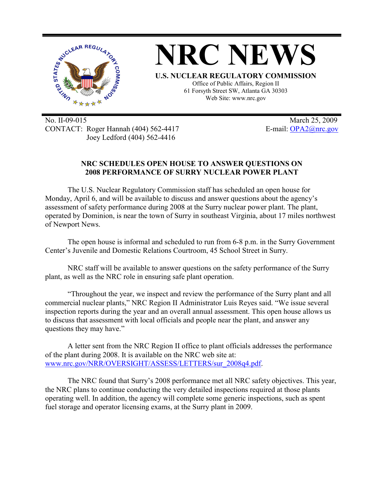

No. II-09-015 March 25, 2009 CONTACT: Roger Hannah (404) 562-4417 E-mail: OPA2@nrc.gov Joey Ledford (404) 562-4416

## **NRC SCHEDULES OPEN HOUSE TO ANSWER QUESTIONS ON 2008 PERFORMANCE OF SURRY NUCLEAR POWER PLANT**

The U.S. Nuclear Regulatory Commission staff has scheduled an open house for Monday, April 6, and will be available to discuss and answer questions about the agency's assessment of safety performance during 2008 at the Surry nuclear power plant. The plant, operated by Dominion, is near the town of Surry in southeast Virginia, about 17 miles northwest of Newport News.

The open house is informal and scheduled to run from 6-8 p.m. in the Surry Government Center's Juvenile and Domestic Relations Courtroom, 45 School Street in Surry.

NRC staff will be available to answer questions on the safety performance of the Surry plant, as well as the NRC role in ensuring safe plant operation.

"Throughout the year, we inspect and review the performance of the Surry plant and all commercial nuclear plants," NRC Region II Administrator Luis Reyes said. "We issue several inspection reports during the year and an overall annual assessment. This open house allows us to discuss that assessment with local officials and people near the plant, and answer any questions they may have."

A letter sent from the NRC Region II office to plant officials addresses the performance of the plant during 2008. It is available on the NRC web site at: www.nrc.gov/NRR/OVERSIGHT/ASSESS/LETTERS/sur\_2008q4.pdf.

The NRC found that Surry's 2008 performance met all NRC safety objectives. This year, the NRC plans to continue conducting the very detailed inspections required at those plants operating well. In addition, the agency will complete some generic inspections, such as spent fuel storage and operator licensing exams, at the Surry plant in 2009.